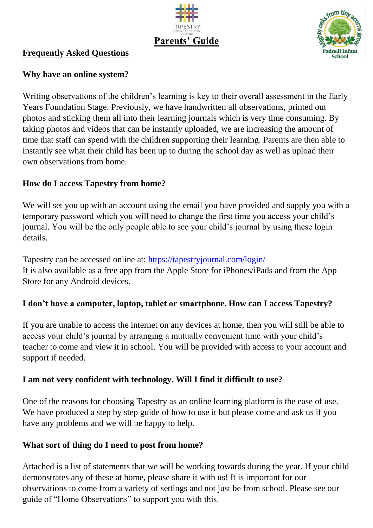



#### **Frequently Asked Questions**

### **Why have an online system?**

Writing observations of the children's learning is key to their overall assessment in the Early Years Foundation Stage. Previously, we have handwritten all observations, printed out photos and sticking them all into their learning journals which is very time consuming. By taking photos and videos that can be instantly uploaded, we are increasing the amount of time that staff can spend with the children supporting their learning. Parents are then able to instantly see what their child has been up to during the school day as well as upload their own observations from home.

## **How do I access Tapestry from home?**

We will set you up with an account using the email you have provided and supply you with a temporary password which you will need to change the first time you access your child's journal. You will be the only people able to see your child's journal by using these login details.

Tapestry can be accessed online at:<https://tapestryjournal.com/login/> It is also available as a free app from the Apple Store for iPhones/iPads and from the App Store for any Android devices.

## **I don't have a computer, laptop, tablet or smartphone. How can I access Tapestry?**

If you are unable to access the internet on any devices at home, then you will still be able to access your child's journal by arranging a mutually convenient time with your child's teacher to come and view it in school. You will be provided with access to your account and support if needed.

## **I am not very confident with technology. Will I find it difficult to use?**

One of the reasons for choosing Tapestry as an online learning platform is the ease of use. We have produced a step by step guide of how to use it but please come and ask us if you have any problems and we will be happy to help.

## **What sort of thing do I need to post from home?**

Attached is a list of statements that we will be working towards during the year. If your child demonstrates any of these at home, please share it with us! It is important for our observations to come from a variety of settings and not just be from school. Please see our guide of "Home Observations" to support you with this.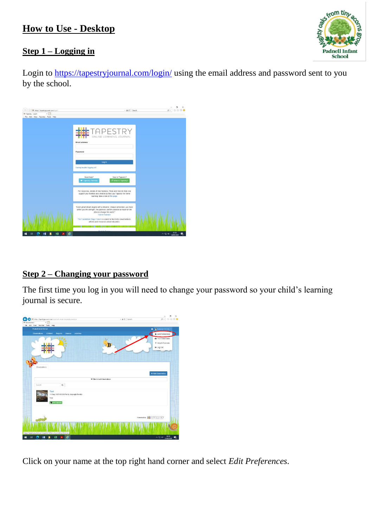# **How to Use - Desktop**



### **Step 1 – Logging in**

Login to<https://tapestryjournal.com/login/> using the email address and password sent to you by the school.



## **Step 2 – Changing your password**

The first time you log in you will need to change your password so your child's learning journal is secure.



Click on your name at the top right hand corner and select *Edit Preferences.*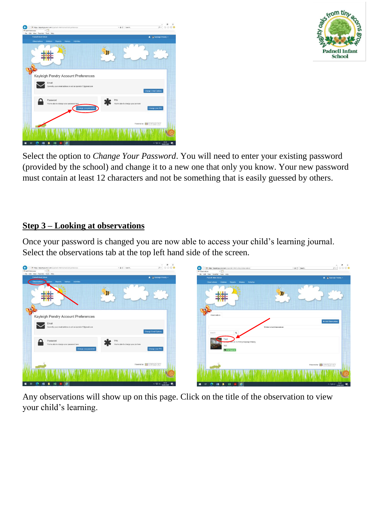



Select the option to *Change Your Password*. You will need to enter your existing password (provided by the school) and change it to a new one that only you know. Your new password must contain at least 12 characters and not be something that is easily guessed by others.

## **Step 3 – Looking at observations**

Once your password is changed you are now able to access your child's learning journal. Select the observations tab at the top left hand side of the screen.



Any observations will show up on this page. Click on the title of the observation to view your child's learning.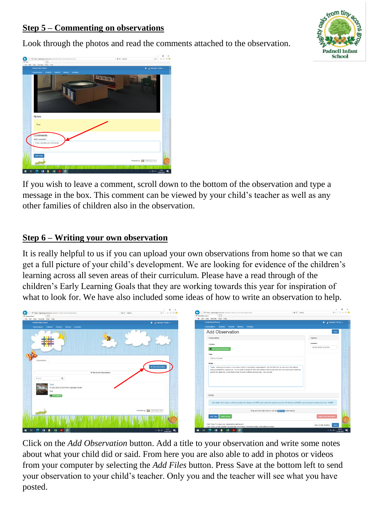## **Step 5 – Commenting on observations**

Look through the photos and read the comments attached to the observation.





If you wish to leave a comment, scroll down to the bottom of the observation and type a message in the box. This comment can be viewed by your child's teacher as well as any other families of children also in the observation.

### **Step 6 – Writing your own observation**

It is really helpful to us if you can upload your own observations from home so that we can get a full picture of your child's development. We are looking for evidence of the children's learning across all seven areas of their curriculum. Please have a read through of the children's Early Learning Goals that they are working towards this year for inspiration of what to look for. We have also included some ideas of how to write an observation to help.

| $P - Q + O$<br>G<br>- B C Search<br>- A C Search<br>$\leftarrow$<br>T# https://tapestryjournal.com/s/padnell-infant-school/observations<br>https://tapestyjournal.com/s/padnell-infant-school/observations/add<br><sup>#</sup> Add Observation<br><b>III</b> Cliservations<br>$\times$ 1                                                                                                                           | $-$ 0 $\times$<br>P- 分公母 ·                                                    |
|--------------------------------------------------------------------------------------------------------------------------------------------------------------------------------------------------------------------------------------------------------------------------------------------------------------------------------------------------------------------------------------------------------------------|-------------------------------------------------------------------------------|
| File Edit View Favorites Tools Help<br>File Edit View Favorites Tools Help<br>Padnell Infant School<br><b>A</b> Rayleigh Pendry .<br>Padnell Infant School                                                                                                                                                                                                                                                         | A Rivieigh Pendry +                                                           |
| Observations Children Reports Memos Adivities<br>Observations Children Reports Memos Activities                                                                                                                                                                                                                                                                                                                    |                                                                               |
| <b>Add Observation</b>                                                                                                                                                                                                                                                                                                                                                                                             |                                                                               |
| Observation                                                                                                                                                                                                                                                                                                                                                                                                        | Options                                                                       |
| Children                                                                                                                                                                                                                                                                                                                                                                                                           | Created *                                                                     |
| Test Squirets (59 month                                                                                                                                                                                                                                                                                                                                                                                            | 14 Sep 2020 03:56 PM                                                          |
| Title *                                                                                                                                                                                                                                                                                                                                                                                                            |                                                                               |
| Getting Dressed<br>Observations                                                                                                                                                                                                                                                                                                                                                                                    |                                                                               |
| Notes                                                                                                                                                                                                                                                                                                                                                                                                              |                                                                               |
| + Add Observation<br>Today, James got dressed in his school uniform completely independently. It is the first time he has done this without<br>being prompted by a grown up. He was able to fasten all zips and buttons without any help and was even able to turn his<br>jumper the right way round from where he took it off the previous day. Very proud)<br>T Filter & Sort Observations<br>$\alpha$<br>Search |                                                                               |
| 14 Sep 2020 03:26 PM by Kayleigh Pendry<br>Test<br>Media                                                                                                                                                                                                                                                                                                                                                           |                                                                               |
| Test Squirren                                                                                                                                                                                                                                                                                                                                                                                                      |                                                                               |
| Size limits: Each video must be less than 10 minutes and 5GB; each audio file must be less than 30 minutes and 5GB; each document must be less than 100MB.                                                                                                                                                                                                                                                         |                                                                               |
| Powered by <b>##TAPESTRY</b><br>Drag and drop files here or use the Mill alm. button below                                                                                                                                                                                                                                                                                                                         |                                                                               |
| Start Upload<br>Add Files                                                                                                                                                                                                                                                                                                                                                                                          | Delete Selected Medi                                                          |
| Click "Save" to save your observation and view it.<br>Click "Save & Add Another" to save this observation and immediately start adding another<br>$\wedge \Box \Leftrightarrow \cdots \qquad \Box$<br>■ 日 ● 田 目 田 片<br>െ<br>$\mathbf{e}$<br>Ħ<br>e<br>xH<br>н.                                                                                                                                                     | Save & Add Another<br>Sav<br>$\land$ $\Box$ 40 $\frac{1539}{14000000}$ $\Box$ |

Click on the *Add Observation* button. Add a title to your observation and write some notes about what your child did or said. From here you are also able to add in photos or videos from your computer by selecting the *Add Files* button. Press Save at the bottom left to send your observation to your child's teacher. Only you and the teacher will see what you have posted.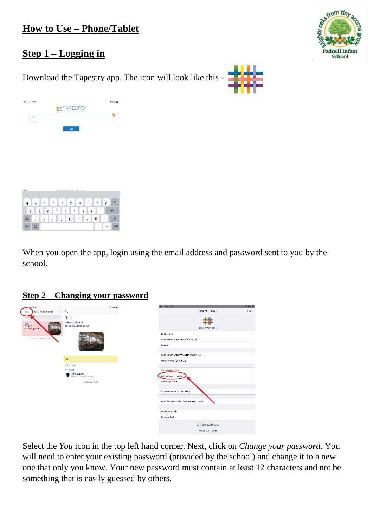

## **Step 1 – Logging in**

Download the Tapestry app. The icon will look like this -



|                | 16:02 Mon 14 Sep        |        |                           |   |                                         |   |                   |                |         | 令 69% ■ |
|----------------|-------------------------|--------|---------------------------|---|-----------------------------------------|---|-------------------|----------------|---------|---------|
|                |                         |        |                           |   | DAPESTR)<br>Onert fremsk kourna         |   |                   |                |         |         |
| Email          |                         |        |                           |   |                                         |   |                   |                |         |         |
|                | Password                |        |                           |   |                                         |   |                   |                |         |         |
|                |                         |        |                           |   | Log In                                  |   |                   |                |         |         |
|                |                         |        |                           |   |                                         |   |                   |                |         |         |
|                |                         |        |                           |   |                                         |   |                   |                |         |         |
|                |                         |        |                           |   |                                         |   |                   |                |         |         |
|                |                         |        |                           |   |                                         |   |                   |                |         |         |
|                |                         |        |                           |   |                                         |   |                   |                |         |         |
|                |                         |        |                           |   |                                         |   |                   |                |         |         |
|                |                         |        |                           |   |                                         |   |                   |                |         |         |
|                |                         |        |                           |   |                                         |   |                   |                |         |         |
|                |                         |        |                           |   |                                         |   |                   |                |         |         |
|                |                         |        |                           |   |                                         |   |                   |                |         |         |
|                |                         |        |                           |   | App version (-4.1.9-149-iPad6.11-12.4.1 |   |                   |                |         |         |
| Þ              | C O                     |        |                           |   |                                         |   |                   |                |         |         |
|                | $\overline{\mathbf{c}}$ | $\,$ 3 | $\tilde{c}_i$             | 6 | 6                                       | 7 | $\rm ^{8}$        | $\rm ^{\circ}$ | $\,0\,$ | ⊗       |
| $\alpha$       | w                       | е      | r                         | t | У                                       | u | í                 | $\circ$        | р       |         |
| $\langle \psi$ | $\boldsymbol{\theta}$   | £<br>d | $\bar{S}$<br>$\mathsf{f}$ | ÷ | J,<br>h                                 | j | ×<br>$\mathsf{k}$ | ٠<br>Ī         |         | تے      |

 $\overline{z}$   $\overline{x}$   $\overline{c}$   $\overline{v}$   $\overline{b}$   $\overline{n}$   $\overline{m}$ 

When you open the app, login using the email address and password sent to you by the school.

### **Step 2 – Changing your password**

 $^\copyright$ 

 $\Diamond$ 

| 16:02 Mon 14 Sep                                          |                                                      | <b>辛 69% ■</b>            | 18:02 Mon 14 Sep                           | <b>9 69%</b>  |
|-----------------------------------------------------------|------------------------------------------------------|---------------------------|--------------------------------------------|---------------|
| Padnell Infant School<br>You<br>$+$                       | $\kappa_{_{\rm M}}$                                  | $\mathcal{P}=\{1,2,3,4\}$ | <b>Kayleigh Pendry</b>                     | Done          |
| 0,58<br>a<br>Test<br>$Q$ 15:26<br><b>* Test Squirrels</b> | Test<br>& Kayleigh Pendry<br>(215:26 (updated 15:27) |                           | Padnell Infant School                      |               |
|                                                           |                                                      |                           | Lock screen                                |               |
| No more observations for                                  |                                                      |                           | Switch school / nursery / child minder     |               |
|                                                           |                                                      |                           | Log out                                    |               |
|                                                           |                                                      |                           | Enable Push Notifications On This Device   |               |
|                                                           | Test                                                 |                           | What we notify you about                   |               |
|                                                           | $60$ . Like                                          |                           |                                            |               |
|                                                           | f 1 Child<br>Test Squirrels                          |                           | Change your email                          |               |
|                                                           | Cohort: 2020 Ape: 59 months                          |                           | Change your password                       | $\mathcal{L}$ |
|                                                           | Add a comment                                        |                           | Change your pin                            |               |
|                                                           |                                                      |                           |                                            |               |
|                                                           |                                                      |                           | Save your email on this device             |               |
|                                                           |                                                      |                           | Enable Offline Observations On This Device |               |
|                                                           |                                                      |                           |                                            |               |
|                                                           |                                                      |                           | Delete local data                          | $\mathcal{P}$ |
|                                                           |                                                      |                           | Report a Fault                             |               |
|                                                           |                                                      |                           | User data loaded 16:02                     |               |
|                                                           |                                                      |                           | Reload your details                        |               |

Select the *You* icon in the top left hand corner. Next, click on *Change your password*. You will need to enter your existing password (provided by the school) and change it to a new one that only you know. Your new password must contain at least 12 characters and not be something that is easily guessed by others.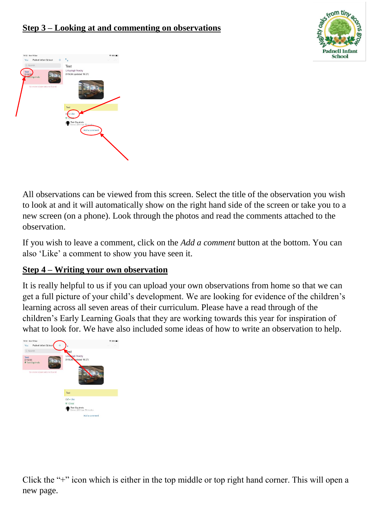



All observations can be viewed from this screen. Select the title of the observation you wish to look at and it will automatically show on the right hand side of the screen or take you to a new screen (on a phone). Look through the photos and read the comments attached to the observation.

If you wish to leave a comment, click on the *Add a comment* button at the bottom. You can also 'Like' a comment to show you have seen it.

## **Step 4 – Writing your own observation**

It is really helpful to us if you can upload your own observations from home so that we can get a full picture of your child's development. We are looking for evidence of the children's learning across all seven areas of their curriculum. Please have a read through of the children's Early Learning Goals that they are working towards this year for inspiration of what to look for. We have also included some ideas of how to write an observation to help.



Click the "+" icon which is either in the top middle or top right hand corner. This will open a new page.